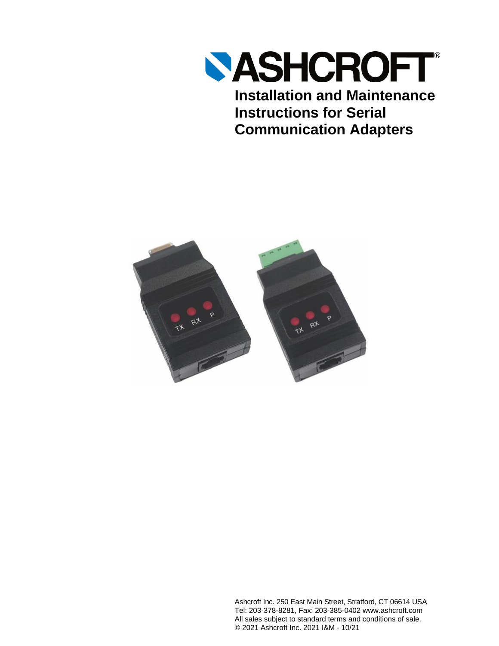

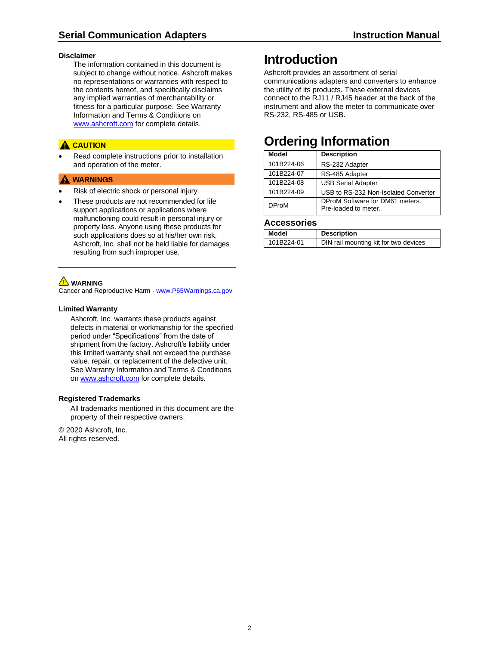#### **Disclaimer**

The information contained in this document is subject to change without notice. Ashcroft makes no representations or warranties with respect to the contents hereof, and specifically disclaims any implied warranties of merchantability or fitness for a particular purpose. See Warranty Information and Terms & Conditions on [www.ashcroft.com](http://www.ashcroft.com/) for complete details.

### **A** CAUTION

Read complete instructions prior to installation and operation of the meter.

### A WARNINGS

- Risk of electric shock or personal injury.
- These products are not recommended for life support applications or applications where malfunctioning could result in personal injury or property loss. Anyone using these products for such applications does so at his/her own risk. Ashcroft, Inc. shall not be held liable for damages resulting from such improper use.

### **WARNING**

Cancer and Reproductive Harm - [www.P65Warnings.ca.gov](http://www.p65warnings.ca.gov/)

#### **Limited Warranty**

Ashcroft, Inc. warrants these products against defects in material or workmanship for the specified period under "Specifications" from the date of shipment from the factory. Ashcroft's liability under this limited warranty shall not exceed the purchase value, repair, or replacement of the defective unit. See Warranty Information and Terms & Conditions o[n www.ashcroft.com](http://www.ashcroft.com/) for complete details.

### **Registered Trademarks**

All trademarks mentioned in this document are the property of their respective owners.

© 2020 Ashcroft, Inc. All rights reserved.

# <span id="page-1-0"></span>**Introduction**

Ashcroft provides an assortment of serial communications adapters and converters to enhance the utility of its products. These external devices connect to the RJ11 / RJ45 header at the back of the instrument and allow the meter to communicate over RS-232, RS-485 or USB.

# <span id="page-1-1"></span>**Ordering Information**

| Model        | <b>Description</b>                                      |
|--------------|---------------------------------------------------------|
| 101B224-06   | RS-232 Adapter                                          |
| 101B224-07   | RS-485 Adapter                                          |
| 101B224-08   | <b>USB Serial Adapter</b>                               |
| 101B224-09   | USB to RS-232 Non-Isolated Converter                    |
| <b>DProM</b> | DProM Software for DM61 meters.<br>Pre-loaded to meter. |

### **Accessories**

| Model      | <b>Description</b>                    |
|------------|---------------------------------------|
| 101B224-01 | DIN rail mounting kit for two devices |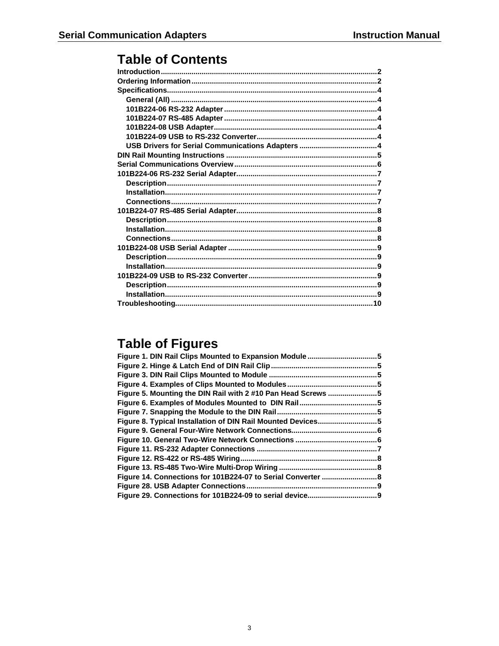# **Table of Contents**

# **Table of Figures**

| Figure 5. Mounting the DIN Rail with 2 #10 Pan Head Screws 5 |  |
|--------------------------------------------------------------|--|
|                                                              |  |
|                                                              |  |
| Figure 8. Typical Installation of DIN Rail Mounted Devices5  |  |
|                                                              |  |
|                                                              |  |
|                                                              |  |
| Figure 12. RS-422 or RS-485 Wiring.                          |  |
|                                                              |  |
|                                                              |  |
| Figure 28. USB Adapter Connections                           |  |
|                                                              |  |
|                                                              |  |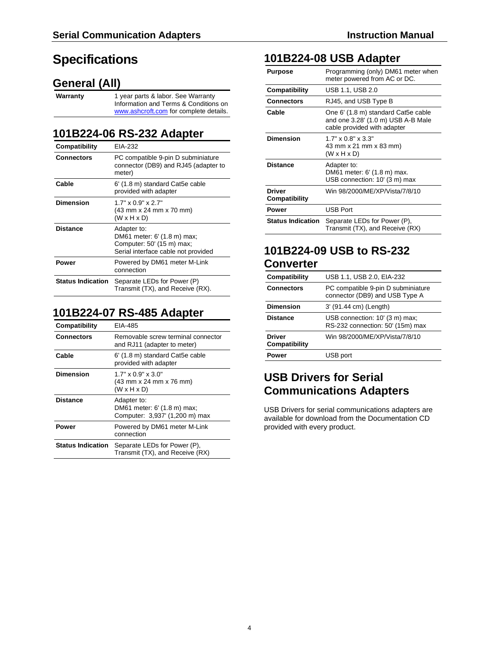# <span id="page-3-0"></span>**Specifications**

## <span id="page-3-1"></span>**General (All)**

**Warranty** 1 year parts & labor. See Warranty Information and Terms & Conditions on [www.ashcroft.com](http://www.ashcroft.com/) for complete details.

### <span id="page-3-2"></span>**101B224-06 RS-232 Adapter**

| Compatibility            | EIA-232                                                                                                        |
|--------------------------|----------------------------------------------------------------------------------------------------------------|
| <b>Connectors</b>        | PC compatible 9-pin D subminiature<br>connector (DB9) and RJ45 (adapter to<br>meter)                           |
| Cable                    | 6' (1.8 m) standard Cat5e cable<br>provided with adapter                                                       |
| <b>Dimension</b>         | $1.7" \times 0.9" \times 2.7"$<br>(43 mm x 24 mm x 70 mm)<br>$(W \times H \times D)$                           |
| <b>Distance</b>          | Adapter to:<br>DM61 meter: 6' (1.8 m) max;<br>Computer: 50' (15 m) max;<br>Serial interface cable not provided |
| Power                    | Powered by DM61 meter M-Link<br>connection                                                                     |
| <b>Status Indication</b> | Separate LEDs for Power (P)<br>Transmit (TX), and Receive (RX).                                                |

## <span id="page-3-3"></span>**101B224-07 RS-485 Adapter**

| Compatibility            | EIA-485                                                                              |
|--------------------------|--------------------------------------------------------------------------------------|
| <b>Connectors</b>        | Removable screw terminal connector<br>and RJ11 (adapter to meter)                    |
| Cable                    | 6' (1.8 m) standard Cat5e cable<br>provided with adapter                             |
| Dimension                | $1.7" \times 0.9" \times 3.0"$<br>(43 mm x 24 mm x 76 mm)<br>$(W \times H \times D)$ |
| <b>Distance</b>          | Adapter to:<br>DM61 meter: 6' (1.8 m) max;<br>Computer: 3,937' (1,200 m) max         |
| Power                    | Powered by DM61 meter M-Link<br>connection                                           |
| <b>Status Indication</b> | Separate LEDs for Power (P),<br>Transmit (TX), and Receive (RX)                      |

### <span id="page-3-4"></span>**101B224-08 USB Adapter**

| Purpose                        | Programming (only) DM61 meter when<br>meter powered from AC or DC.                                       |
|--------------------------------|----------------------------------------------------------------------------------------------------------|
| Compatibility                  | USB 1.1, USB 2.0                                                                                         |
| <b>Connectors</b>              | RJ45, and USB Type B                                                                                     |
| Cable                          | One 6' (1.8 m) standard Cat5e cable<br>and one 3.28' (1.0 m) USB A-B Male<br>cable provided with adapter |
| <b>Dimension</b>               | $1.7" \times 0.8" \times 3.3"$<br>43 mm x 21 mm x 83 mm)<br>$(W \times H \times D)$                      |
| <b>Distance</b>                | Adapter to:<br>DM61 meter: 6' (1.8 m) max.<br>USB connection: 10' (3 m) max                              |
| <b>Driver</b><br>Compatibility | Win 98/2000/ME/XP/Vista/7/8/10                                                                           |
| Power                          | <b>USB Port</b>                                                                                          |
| <b>Status Indication</b>       | Separate LEDs for Power (P),<br>Transmit (TX), and Receive (RX)                                          |

## <span id="page-3-5"></span>**101B224-09 USB to RS-232 Converter**

| Compatibility                  | USB 1.1, USB 2.0, EIA-232                                            |
|--------------------------------|----------------------------------------------------------------------|
| <b>Connectors</b>              | PC compatible 9-pin D subminiature<br>connector (DB9) and USB Type A |
| <b>Dimension</b>               | 3' (91.44 cm) (Length)                                               |
| <b>Distance</b>                | USB connection: 10' (3 m) max;<br>RS-232 connection: 50' (15m) max   |
| <b>Driver</b><br>Compatibility | Win 98/2000/ME/XP/Vista/7/8/10                                       |
| Power                          | USB port                                                             |

### <span id="page-3-6"></span>**USB Drivers for Serial Communications Adapters**

USB Drivers for serial communications adapters are available for download from the Documentation CD provided with every product.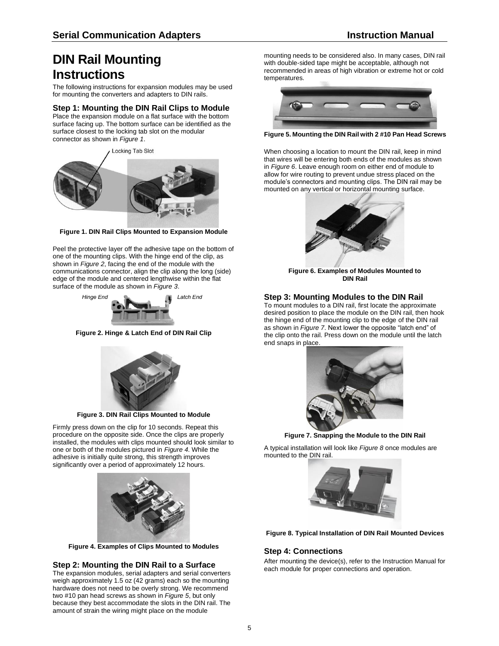# <span id="page-4-0"></span>**DIN Rail Mounting Instructions**

The following instructions for expansion modules may be used for mounting the converters and adapters to DIN rails.

### **Step 1: Mounting the DIN Rail Clips to Module**

Place the expansion module on a flat surface with the bottom surface facing up. The bottom surface can be identified as the surface closest to the locking tab slot on the modular connector as shown in *[Figure 1](#page-4-1)*.

**Locking Tab Slot** 



**Figure 1. DIN Rail Clips Mounted to Expansion Module**

<span id="page-4-1"></span>Peel the protective layer off the adhesive tape on the bottom of one of the mounting clips. With the hinge end of the clip, as shown in *[Figure 2](#page-4-2)*, facing the end of the module with the communications connector, align the clip along the long (side) edge of the module and centered lengthwise within the flat surface of the module as shown in *[Figure 3](#page-4-3)*.



**Figure 2. Hinge & Latch End of DIN Rail Clip**

<span id="page-4-2"></span>

**Figure 3. DIN Rail Clips Mounted to Module**

<span id="page-4-3"></span>Firmly press down on the clip for 10 seconds. Repeat this procedure on the opposite side. Once the clips are properly installed, the modules with clips mounted should look similar to one or both of the modules pictured in *[Figure 4](#page-4-4)*. While the adhesive is initially quite strong, this strength improves significantly over a period of approximately 12 hours.



**Figure 4. Examples of Clips Mounted to Modules**

### <span id="page-4-4"></span>**Step 2: Mounting the DIN Rail to a Surface**

The expansion modules, serial adapters and serial converters weigh approximately 1.5 oz (42 grams) each so the mounting hardware does not need to be overly strong. We recommend two #10 pan head screws as shown in *[Figure 5](#page-4-5)*, but only because they best accommodate the slots in the DIN rail. The amount of strain the wiring might place on the module

mounting needs to be considered also. In many cases, DIN rail with double-sided tape might be acceptable, although not recommended in areas of high vibration or extreme hot or cold temperatures.



**Figure 5. Mounting the DIN Rail with 2 #10 Pan Head Screws**

<span id="page-4-5"></span>When choosing a location to mount the DIN rail, keep in mind that wires will be entering both ends of the modules as shown in *[Figure 6](#page-4-6)*. Leave enough room on either end of module to allow for wire routing to prevent undue stress placed on the module's connectors and mounting clips. The DIN rail may be mounted on any vertical or horizontal mounting surface.



**Figure 6. Examples of Modules Mounted to DIN Rail**

### <span id="page-4-6"></span>**Step 3: Mounting Modules to the DIN Rail**

To mount modules to a DIN rail, first locate the approximate desired position to place the module on the DIN rail, then hook the hinge end of the mounting clip to the edge of the DIN rail as shown in *[Figure 7](#page-4-7)*. Next lower the opposite "latch end" of the clip onto the rail. Press down on the module until the latch end snaps in place.



**Figure 7. Snapping the Module to the DIN Rail**

<span id="page-4-7"></span>A typical installation will look like *[Figure 8](#page-4-8)* once modules are mounted to the DIN rail.



**Figure 8. Typical Installation of DIN Rail Mounted Devices**

### <span id="page-4-8"></span>**Step 4: Connections**

After mounting the device(s), refer to the Instruction Manual for each module for proper connections and operation.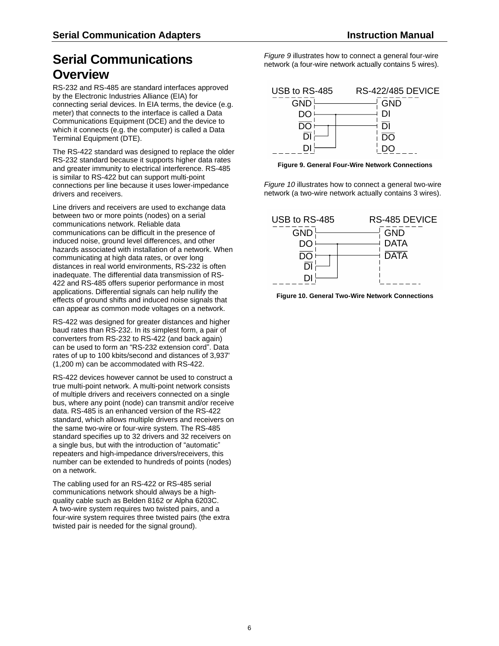# <span id="page-5-0"></span>**Serial Communications Overview**

RS-232 and RS-485 are standard interfaces approved by the Electronic Industries Alliance (EIA) for connecting serial devices. In EIA terms, the device (e.g. meter) that connects to the interface is called a Data Communications Equipment (DCE) and the device to which it connects (e.g. the computer) is called a Data Terminal Equipment (DTE).

The RS-422 standard was designed to replace the older RS-232 standard because it supports higher data rates and greater immunity to electrical interference. RS-485 is similar to RS-422 but can support multi-point connections per line because it uses lower-impedance drivers and receivers.

Line drivers and receivers are used to exchange data between two or more points (nodes) on a serial communications network. Reliable data communications can be difficult in the presence of induced noise, ground level differences, and other hazards associated with installation of a network. When communicating at high data rates, or over long distances in real world environments, RS-232 is often inadequate. The differential data transmission of RS-422 and RS-485 offers superior performance in most applications. Differential signals can help nullify the effects of ground shifts and induced noise signals that can appear as common mode voltages on a network.

RS-422 was designed for greater distances and higher baud rates than RS-232. In its simplest form, a pair of converters from RS-232 to RS-422 (and back again) can be used to form an "RS-232 extension cord". Data rates of up to 100 kbits/second and distances of 3,937' (1,200 m) can be accommodated with RS-422.

RS-422 devices however cannot be used to construct a true multi-point network. A multi-point network consists of multiple drivers and receivers connected on a single bus, where any point (node) can transmit and/or receive data. RS-485 is an enhanced version of the RS-422 standard, which allows multiple drivers and receivers on the same two-wire or four-wire system. The RS-485 standard specifies up to 32 drivers and 32 receivers on a single bus, but with the introduction of "automatic" repeaters and high-impedance drivers/receivers, this number can be extended to hundreds of points (nodes) on a network.

The cabling used for an RS-422 or RS-485 serial communications network should always be a highquality cable such as Belden 8162 or Alpha 6203C. A two-wire system requires two twisted pairs, and a four-wire system requires three twisted pairs (the extra twisted pair is needed for the signal ground).

*[Figure 9](#page-5-1)* illustrates how to connect a general four-wire network (a four-wire network actually contains 5 wires).



<span id="page-5-1"></span>**Figure 9. General Four-Wire Network Connections**

*[Figure 10](#page-5-2)* illustrates how to connect a general two-wire network (a two-wire network actually contains 3 wires).



<span id="page-5-2"></span>**Figure 10. General Two-Wire Network Connections**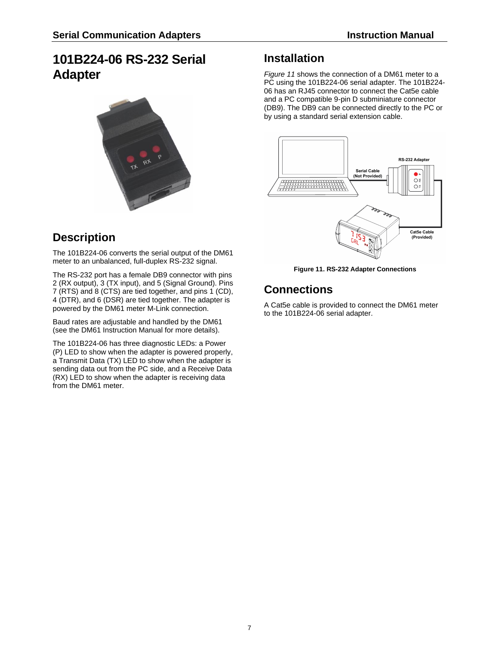# <span id="page-6-0"></span>**101B224-06 RS-232 Serial Adapter**



## <span id="page-6-1"></span>**Description**

The 101B224-06 converts the serial output of the DM61 meter to an unbalanced, full-duplex RS-232 signal.

The RS-232 port has a female DB9 connector with pins 2 (RX output), 3 (TX input), and 5 (Signal Ground). Pins 7 (RTS) and 8 (CTS) are tied together, and pins 1 (CD), 4 (DTR), and 6 (DSR) are tied together. The adapter is powered by the DM61 meter M-Link connection.

Baud rates are adjustable and handled by the DM61 (see the DM61 Instruction Manual for more details).

The 101B224-06 has three diagnostic LEDs: a Power (P) LED to show when the adapter is powered properly, a Transmit Data (TX) LED to show when the adapter is sending data out from the PC side, and a Receive Data (RX) LED to show when the adapter is receiving data from the DM61 meter.

## <span id="page-6-2"></span>**Installation**

*[Figure 11](#page-6-4)* shows the connection of a DM61 meter to a PC using the 101B224-06 serial adapter. The 101B224- 06 has an RJ45 connector to connect the Cat5e cable and a PC compatible 9-pin D subminiature connector (DB9). The DB9 can be connected directly to the PC or by using a standard serial extension cable.



**Figure 11. RS-232 Adapter Connections**

# <span id="page-6-4"></span><span id="page-6-3"></span>**Connections**

A Cat5e cable is provided to connect the DM61 meter to the 101B224-06 serial adapter.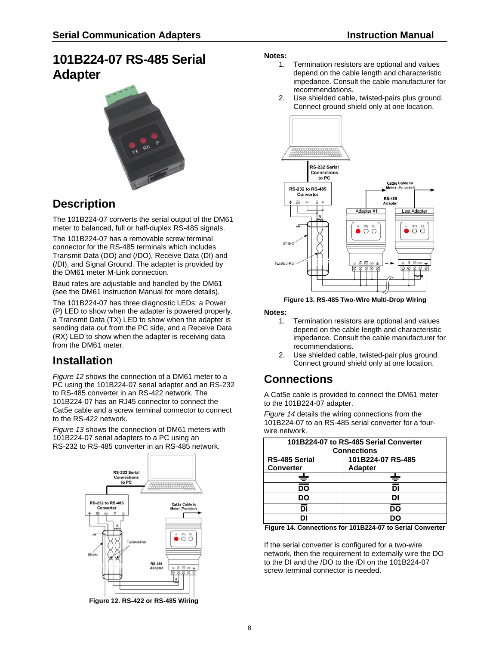# <span id="page-7-0"></span>**101B224-07 RS-485 Serial Adapter**



## <span id="page-7-1"></span>**Description**

The 101B224-07 converts the serial output of the DM61 meter to balanced, full or half-duplex RS-485 signals.

The 101B224-07 has a removable screw terminal connector for the RS-485 terminals which includes Transmit Data (DO) and (/DO), Receive Data (DI) and (/DI), and Signal Ground. The adapter is provided by the DM61 meter M-Link connection.

Baud rates are adjustable and handled by the DM61 (see the DM61 Instruction Manual for more details).

The 101B224-07 has three diagnostic LEDs: a Power (P) LED to show when the adapter is powered properly, a Transmit Data (TX) LED to show when the adapter is sending data out from the PC side, and a Receive Data (RX) LED to show when the adapter is receiving data from the DM61 meter.

# <span id="page-7-2"></span>**Installation**

*[Figure 12](#page-7-4)* shows the connection of a DM61 meter to a PC using the 101B224-07 serial adapter and an RS-232 to RS-485 converter in an RS-422 network. The 101B224-07 has an RJ45 connector to connect the Cat5e cable and a screw terminal connector to connect to the RS-422 network.

*[Figure 13](#page-7-5)* shows the connection of DM61 meters with 101B224-07 serial adapters to a PC using an RS-232 to RS-485 converter in an RS-485 network.



<span id="page-7-4"></span>**Figure 12. RS-422 or RS-485 Wiring**

### **Notes:**

- 1. Termination resistors are optional and values depend on the cable length and characteristic impedance. Consult the cable manufacturer for recommendations.
- 2. Use shielded cable, twisted-pairs plus ground. Connect ground shield only at one location.



**Figure 13. RS-485 Two-Wire Multi-Drop Wiring**

### <span id="page-7-5"></span>**Notes:**

- 1. Termination resistors are optional and values depend on the cable length and characteristic impedance. Consult the cable manufacturer for recommendations.
- 2. Use shielded cable, twisted-pair plus ground. Connect ground shield only at one location.

## <span id="page-7-3"></span>**Connections**

A Cat5e cable is provided to connect the DM61 meter to the 101B224-07 adapter.

*[Figure 14](#page-7-6)* details the wiring connections from the 101B224-07 to an RS-485 serial converter for a fourwire network.

|                      | 101B224-07 to RS-485 Serial Converter |
|----------------------|---------------------------------------|
| <b>Connections</b>   |                                       |
| <b>RS-485 Serial</b> | 101B224-07 RS-485                     |
| <b>Converter</b>     | <b>Adapter</b>                        |
| л.<br>Ξ              | J.                                    |
| ▅<br>ᅘ               | וס                                    |
| DO                   | DI                                    |
| וֹס                  | ĎŌ                                    |
| וח                   | nr                                    |

<span id="page-7-6"></span>**Figure 14. Connections for 101B224-07 to Serial Converter**

If the serial converter is configured for a two-wire network, then the requirement to externally wire the DO to the DI and the /DO to the /DI on the 101B224-07 screw terminal connector is needed.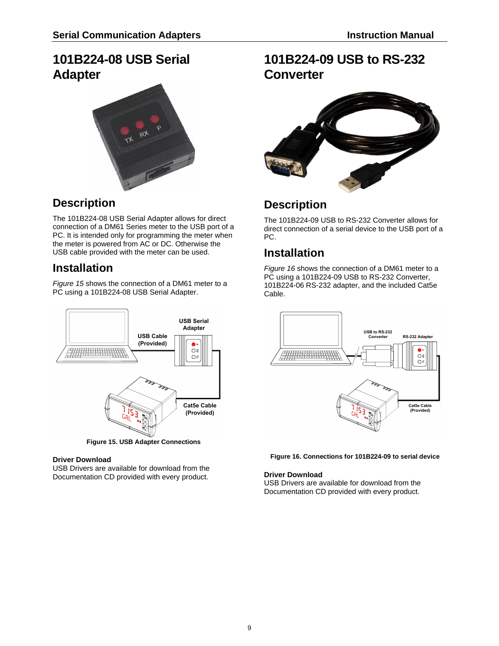# <span id="page-8-0"></span>**101B224-08 USB Serial Adapter**



# <span id="page-8-1"></span>**Description**

The 101B224-08 USB Serial Adapter allows for direct connection of a DM61 Series meter to the USB port of a PC. It is intended only for programming the meter when the meter is powered from AC or DC. Otherwise the USB cable provided with the meter can be used.

# <span id="page-8-2"></span>**Installation**

*[Figure 15](#page-8-6)* shows the connection of a DM61 meter to a PC using a 101B224-08 USB Serial Adapter.



### <span id="page-8-6"></span>**Driver Download**

USB Drivers are available for download from the Documentation CD provided with every product.

# <span id="page-8-3"></span>**101B224-09 USB to RS-232 Converter**



## <span id="page-8-4"></span>**Description**

The 101B224-09 USB to RS-232 Converter allows for direct connection of a serial device to the USB port of a PC.

# <span id="page-8-5"></span>**Installation**

*[Figure 16](#page-8-7)* shows the connection of a DM61 meter to a PC using a 101B224-09 USB to RS-232 Converter, 101B224-06 RS-232 adapter, and the included Cat5e Cable.



<span id="page-8-7"></span>**Figure 16. Connections for 101B224-09 to serial device**

### **Driver Download**

USB Drivers are available for download from the Documentation CD provided with every product.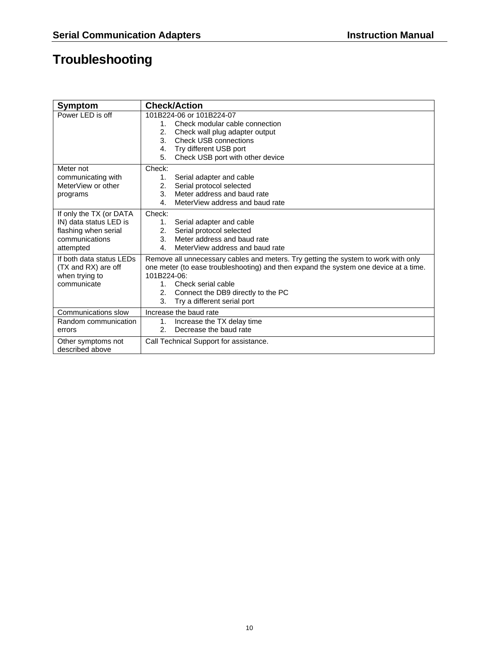# <span id="page-9-0"></span>**Troubleshooting**

| Symptom                  | <b>Check/Action</b>                                                                  |
|--------------------------|--------------------------------------------------------------------------------------|
| Power LED is off         | 101B224-06 or 101B224-07                                                             |
|                          | Check modular cable connection<br>1.                                                 |
|                          | Check wall plug adapter output<br>2.                                                 |
|                          | 3.<br><b>Check USB connections</b>                                                   |
|                          | Try different USB port<br>4.                                                         |
|                          | 5.<br>Check USB port with other device                                               |
| Meter not                | Check:                                                                               |
| communicating with       | Serial adapter and cable<br>1.                                                       |
| MeterView or other       | Serial protocol selected<br>2.                                                       |
| programs                 | 3.<br>Meter address and baud rate                                                    |
|                          | MeterView address and baud rate<br>4.                                                |
| If only the TX (or DATA  | Check:                                                                               |
| IN) data status LED is   | Serial adapter and cable<br>1.                                                       |
| flashing when serial     | Serial protocol selected<br>2.                                                       |
| communications           | Meter address and baud rate<br>3.                                                    |
| attempted                | MeterView address and baud rate<br>4.                                                |
| If both data status LEDs | Remove all unnecessary cables and meters. Try getting the system to work with only   |
| (TX and RX) are off      | one meter (to ease troubleshooting) and then expand the system one device at a time. |
| when trying to           | 101B224-06:                                                                          |
| communicate              | Check serial cable<br>$1_{-}$                                                        |
|                          | Connect the DB9 directly to the PC<br>2.                                             |
|                          | 3.<br>Try a different serial port                                                    |
| Communications slow      | Increase the baud rate                                                               |
| Random communication     | Increase the TX delay time<br>1.                                                     |
| errors                   | Decrease the baud rate<br>2 <sub>1</sub>                                             |
| Other symptoms not       | Call Technical Support for assistance.                                               |
| described above          |                                                                                      |